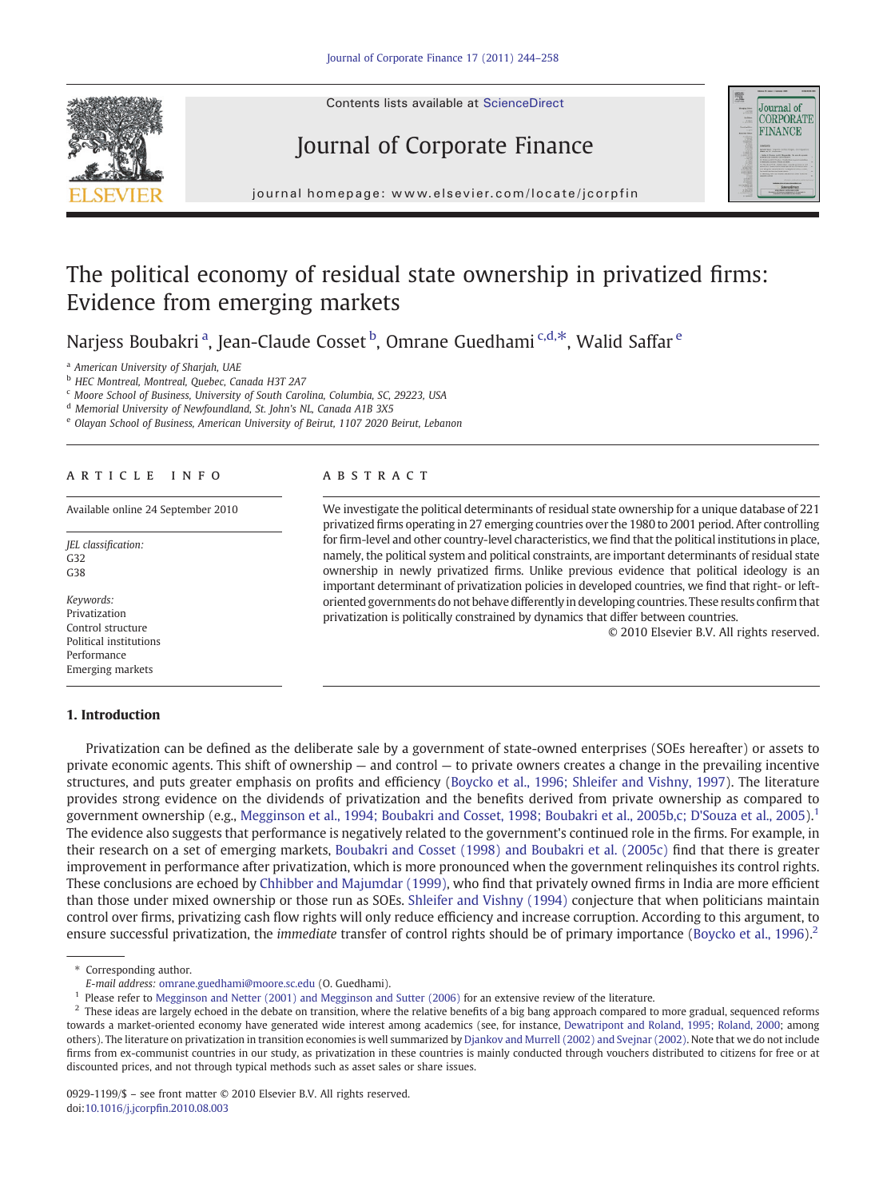Contents lists available at ScienceDirect

# Journal of Corporate Finance



j o u r n a g e  $\mathbf{r}$  even  $\mathbf{r}$  . C on  $\mathbf{r}$  is a t except in  $\mathbf{r}$  in  $\mathbf{r}$ 

## The political economy of residual state ownership in privatized firms: Evidence from emerging markets

Narjess Boubakri<sup>a</sup>, Jean-Claude Cosset <sup>b</sup>, Omrane Guedhami <sup>c,d,\*</sup>, Walid Saffar <sup>e</sup>

<sup>a</sup> American University of Sharjah, UAE

b HEC Montreal, Montreal, Quebec, Canada H3T 2A7

<sup>c</sup> Moore School of Business, University of South Carolina, Columbia, SC, 29223, USA

<sup>d</sup> Memorial University of Newfoundland, St. John's NL, Canada A1B 3X5

<sup>e</sup> Olayan School of Business, American University of Beirut, 1107 2020 Beirut, Lebanon

### article info abstract

JEL classification: G32 G38

Keywords: Privatization Control structure Political institutions Performance Emerging markets

#### 1. Introduction

Available online 24 September 2010 We investigate the political determinants of residual state ownership for a unique database of 221 privatized firms operating in 27 emerging countries over the 1980 to 2001 period. After controlling for firm-level and other country-level characteristics, we find that the political institutions in place, namely, the political system and political constraints, are important determinants of residual state ownership in newly privatized firms. Unlike previous evidence that political ideology is an important determinant of privatization policies in developed countries, we find that right- or leftoriented governments do not behave differently in developing countries. These results confirm that privatization is politically constrained by dynamics that differ between countries.

© 2010 Elsevier B.V. All rights reserved.

Privatization can be defined as the deliberate sale by a government of state-owned enterprises (SOEs hereafter) or assets to private economic agents. This shift of ownership — and control — to private owners creates a change in the prevailing incentive structures, and puts greater emphasis on profits and efficiency [\(Boycko et al., 1996; Shleifer and Vishny, 1997](#page--1-0)). The literature provides strong evidence on the dividends of privatization and the benefits derived from private ownership as compared to government ownership (e.g., [Megginson et al., 1994; Boubakri and Cosset, 1998; Boubakri et al., 2005b,c; D'Souza et al., 2005\)](#page--1-0).<sup>1</sup> The evidence also suggests that performance is negatively related to the government's continued role in the firms. For example, in their research on a set of emerging markets, [Boubakri and Cosset \(1998\) and Boubakri et al. \(2005c\)](#page--1-0) find that there is greater improvement in performance after privatization, which is more pronounced when the government relinquishes its control rights. These conclusions are echoed by [Chhibber and Majumdar \(1999\),](#page--1-0) who find that privately owned firms in India are more efficient than those under mixed ownership or those run as SOEs. [Shleifer and Vishny \(1994\)](#page--1-0) conjecture that when politicians maintain control over firms, privatizing cash flow rights will only reduce efficiency and increase corruption. According to this argument, to ensure successful privatization, the *immediate* transfer of control rights should be of primary importance [\(Boycko et al., 1996\)](#page--1-0).<sup>2</sup>

⁎ Corresponding author.

E-mail address: [omrane.guedhami@moore.sc.edu](mailto:omrane.guedhami@moore.sc.edu) (O. Guedhami).

<sup>&</sup>lt;sup>1</sup> Please refer to [Megginson and Netter \(2001\) and Megginson and Sutter \(2006\)](#page--1-0) for an extensive review of the literature.

<sup>&</sup>lt;sup>2</sup> These ideas are largely echoed in the debate on transition, where the relative benefits of a big bang approach compared to more gradual, sequenced reforms towards a market-oriented economy have generated wide interest among academics (see, for instance, [Dewatripont and Roland, 1995; Roland, 2000](#page--1-0); among others). The literature on privatization in transition economies is well summarized by [Djankov and Murrell \(2002\) and Svejnar \(2002\)](#page--1-0). Note that we do not include firms from ex-communist countries in our study, as privatization in these countries is mainly conducted through vouchers distributed to citizens for free or at discounted prices, and not through typical methods such as asset sales or share issues.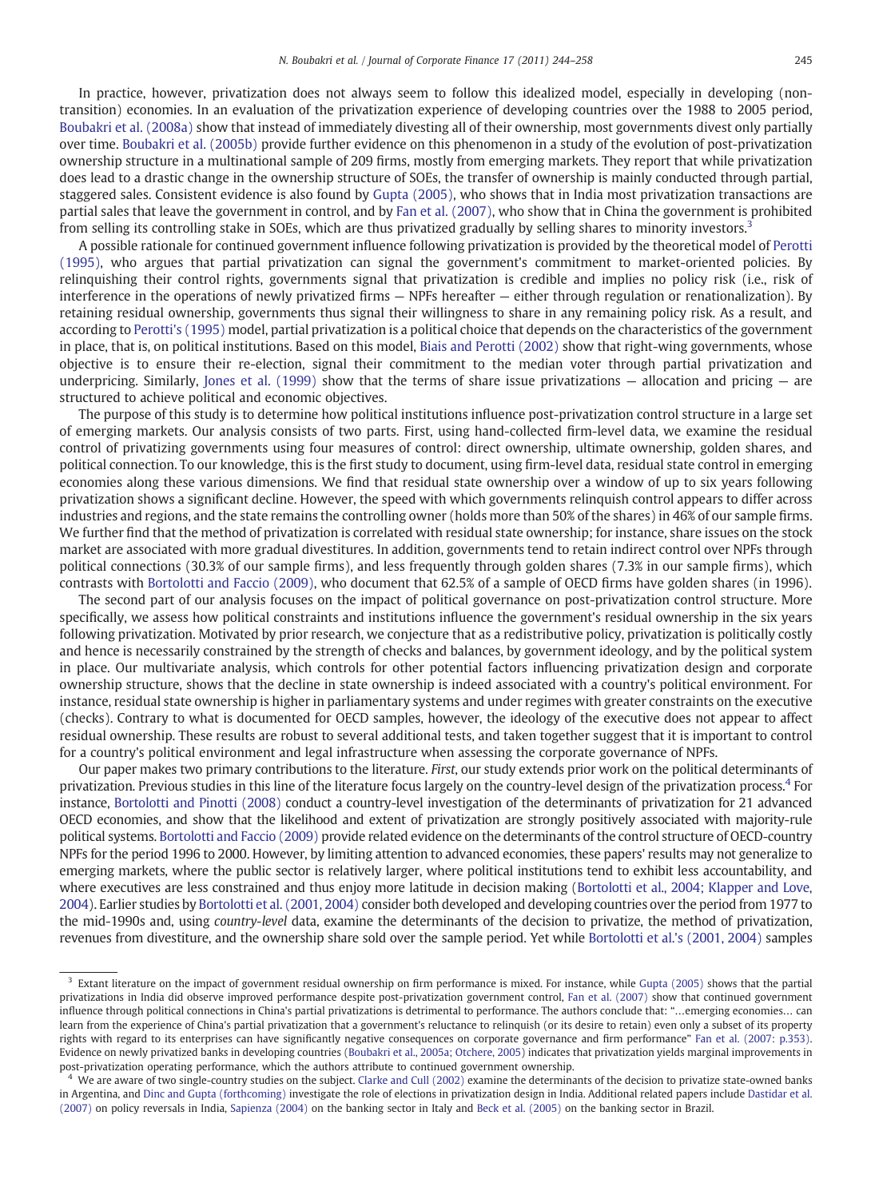In practice, however, privatization does not always seem to follow this idealized model, especially in developing (nontransition) economies. In an evaluation of the privatization experience of developing countries over the 1988 to 2005 period, [Boubakri et al. \(2008a\)](#page--1-0) show that instead of immediately divesting all of their ownership, most governments divest only partially over time. [Boubakri et al. \(2005b\)](#page--1-0) provide further evidence on this phenomenon in a study of the evolution of post-privatization ownership structure in a multinational sample of 209 firms, mostly from emerging markets. They report that while privatization does lead to a drastic change in the ownership structure of SOEs, the transfer of ownership is mainly conducted through partial, staggered sales. Consistent evidence is also found by [Gupta \(2005\),](#page--1-0) who shows that in India most privatization transactions are partial sales that leave the government in control, and by [Fan et al. \(2007\),](#page--1-0) who show that in China the government is prohibited from selling its controlling stake in SOEs, which are thus privatized gradually by selling shares to minority investors.3

A possible rationale for continued government influence following privatization is provided by the theoretical model of [Perotti](#page--1-0) [\(1995\)](#page--1-0), who argues that partial privatization can signal the government's commitment to market-oriented policies. By relinquishing their control rights, governments signal that privatization is credible and implies no policy risk (i.e., risk of interference in the operations of newly privatized firms — NPFs hereafter — either through regulation or renationalization). By retaining residual ownership, governments thus signal their willingness to share in any remaining policy risk. As a result, and according to [Perotti's \(1995\)](#page--1-0) model, partial privatization is a political choice that depends on the characteristics of the government in place, that is, on political institutions. Based on this model, [Biais and Perotti \(2002\)](#page--1-0) show that right-wing governments, whose objective is to ensure their re-election, signal their commitment to the median voter through partial privatization and underpricing. Similarly, [Jones et al. \(1999\)](#page--1-0) show that the terms of share issue privatizations  $-$  allocation and pricing  $-$  are structured to achieve political and economic objectives.

The purpose of this study is to determine how political institutions influence post-privatization control structure in a large set of emerging markets. Our analysis consists of two parts. First, using hand-collected firm-level data, we examine the residual control of privatizing governments using four measures of control: direct ownership, ultimate ownership, golden shares, and political connection. To our knowledge, this is the first study to document, using firm-level data, residual state control in emerging economies along these various dimensions. We find that residual state ownership over a window of up to six years following privatization shows a significant decline. However, the speed with which governments relinquish control appears to differ across industries and regions, and the state remains the controlling owner (holds more than 50% of the shares) in 46% of our sample firms. We further find that the method of privatization is correlated with residual state ownership; for instance, share issues on the stock market are associated with more gradual divestitures. In addition, governments tend to retain indirect control over NPFs through political connections (30.3% of our sample firms), and less frequently through golden shares (7.3% in our sample firms), which contrasts with [Bortolotti and Faccio \(2009\)](#page--1-0), who document that 62.5% of a sample of OECD firms have golden shares (in 1996).

The second part of our analysis focuses on the impact of political governance on post-privatization control structure. More specifically, we assess how political constraints and institutions influence the government's residual ownership in the six years following privatization. Motivated by prior research, we conjecture that as a redistributive policy, privatization is politically costly and hence is necessarily constrained by the strength of checks and balances, by government ideology, and by the political system in place. Our multivariate analysis, which controls for other potential factors influencing privatization design and corporate ownership structure, shows that the decline in state ownership is indeed associated with a country's political environment. For instance, residual state ownership is higher in parliamentary systems and under regimes with greater constraints on the executive (checks). Contrary to what is documented for OECD samples, however, the ideology of the executive does not appear to affect residual ownership. These results are robust to several additional tests, and taken together suggest that it is important to control for a country's political environment and legal infrastructure when assessing the corporate governance of NPFs.

Our paper makes two primary contributions to the literature. First, our study extends prior work on the political determinants of privatization. Previous studies in this line of the literature focus largely on the country-level design of the privatization process.4 For instance, [Bortolotti and Pinotti \(2008\)](#page--1-0) conduct a country-level investigation of the determinants of privatization for 21 advanced OECD economies, and show that the likelihood and extent of privatization are strongly positively associated with majority-rule political systems. [Bortolotti and Faccio \(2009\)](#page--1-0) provide related evidence on the determinants of the control structure of OECD-country NPFs for the period 1996 to 2000. However, by limiting attention to advanced economies, these papers' results may not generalize to emerging markets, where the public sector is relatively larger, where political institutions tend to exhibit less accountability, and where executives are less constrained and thus enjoy more latitude in decision making [\(Bortolotti et al., 2004; Klapper and Love,](#page--1-0) [2004\)](#page--1-0). Earlier studies by [Bortolotti et al. \(2001, 2004\)](#page--1-0) consider both developed and developing countries over the period from 1977 to the mid-1990s and, using country-level data, examine the determinants of the decision to privatize, the method of privatization, revenues from divestiture, and the ownership share sold over the sample period. Yet while [Bortolotti et al.'s \(2001, 2004\)](#page--1-0) samples

<sup>&</sup>lt;sup>3</sup> Extant literature on the impact of government residual ownership on firm performance is mixed. For instance, while [Gupta \(2005\)](#page--1-0) shows that the partial privatizations in India did observe improved performance despite post-privatization government control, [Fan et al. \(2007\)](#page--1-0) show that continued government influence through political connections in China's partial privatizations is detrimental to performance. The authors conclude that: "…emerging economies… can learn from the experience of China's partial privatization that a government's reluctance to relinquish (or its desire to retain) even only a subset of its property rights with regard to its enterprises can have significantly negative consequences on corporate governance and firm performance" [Fan et al. \(2007: p.353\).](#page--1-0) Evidence on newly privatized banks in developing countries ([Boubakri et al., 2005a; Otchere, 2005\)](#page--1-0) indicates that privatization yields marginal improvements in post-privatization operating performance, which the authors attribute to continued government ownership.

 $4\,$  We are aware of two single-country studies on the subject. [Clarke and Cull \(2002\)](#page--1-0) examine the determinants of the decision to privatize state-owned banks in Argentina, and [Dinc and Gupta \(forthcoming\)](#page--1-0) investigate the role of elections in privatization design in India. Additional related papers include [Dastidar et al.](#page--1-0) [\(2007\)](#page--1-0) on policy reversals in India, [Sapienza \(2004\)](#page--1-0) on the banking sector in Italy and [Beck et al. \(2005\)](#page--1-0) on the banking sector in Brazil.